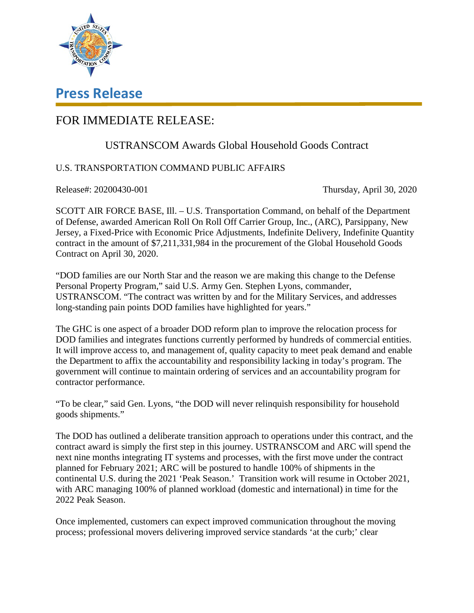

## **Press Release**

## FOR IMMEDIATE RELEASE:

## USTRANSCOM Awards Global Household Goods Contract

## U.S. TRANSPORTATION COMMAND PUBLIC AFFAIRS

Release#: 20200430-001 Thursday, April 30, 2020

SCOTT AIR FORCE BASE, Ill. – U.S. Transportation Command, on behalf of the Department of Defense, awarded American Roll On Roll Off Carrier Group, Inc., (ARC), Parsippany, New Jersey, a Fixed-Price with Economic Price Adjustments, Indefinite Delivery, Indefinite Quantity contract in the amount of \$7,211,331,984 in the procurement of the Global Household Goods Contract on April 30, 2020.

"DOD families are our North Star and the reason we are making this change to the Defense Personal Property Program," said U.S. Army Gen. Stephen Lyons, commander, USTRANSCOM. "The contract was written by and for the Military Services, and addresses long-standing pain points DOD families have highlighted for years."

The GHC is one aspect of a broader DOD reform plan to improve the relocation process for DOD families and integrates functions currently performed by hundreds of commercial entities. It will improve access to, and management of, quality capacity to meet peak demand and enable the Department to affix the accountability and responsibility lacking in today's program. The government will continue to maintain ordering of services and an accountability program for contractor performance.

"To be clear," said Gen. Lyons, "the DOD will never relinquish responsibility for household goods shipments."

The DOD has outlined a deliberate transition approach to operations under this contract, and the contract award is simply the first step in this journey. USTRANSCOM and ARC will spend the next nine months integrating IT systems and processes, with the first move under the contract planned for February 2021; ARC will be postured to handle 100% of shipments in the continental U.S. during the 2021 'Peak Season.' Transition work will resume in October 2021, with ARC managing 100% of planned workload (domestic and international) in time for the 2022 Peak Season.

Once implemented, customers can expect improved communication throughout the moving process; professional movers delivering improved service standards 'at the curb;' clear